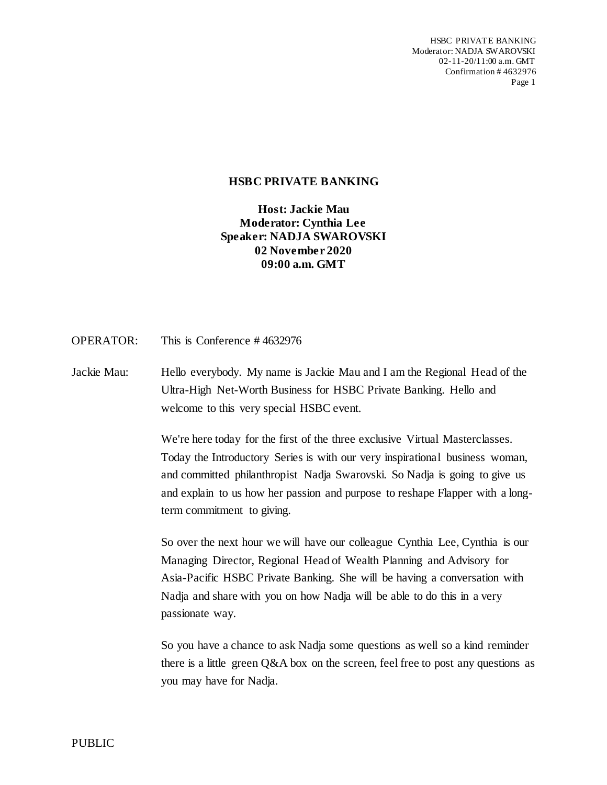HSBC PRIVATE BANKING Moderator: NADJA SWAROVSKI 02-11-20/11:00 a.m. GMT Confirmation # 4632976 Page 1

## **HSBC PRIVATE BANKING**

**Host: Jackie Mau Moderator: Cynthia Lee Speaker: NADJA SWAROVSKI 02 November 2020 09:00 a.m. GMT**

OPERATOR: This is Conference # 4632976

Jackie Mau: Hello everybody. My name is Jackie Mau and I am the Regional Head of the Ultra-High Net-Worth Business for HSBC Private Banking. Hello and welcome to this very special HSBC event.

> We're here today for the first of the three exclusive Virtual Masterclasses. Today the Introductory Series is with our very inspirational business woman, and committed philanthropist Nadja Swarovski. So Nadja is going to give us and explain to us how her passion and purpose to reshape Flapper with a longterm commitment to giving.

> So over the next hour we will have our colleague Cynthia Lee, Cynthia is our Managing Director, Regional Head of Wealth Planning and Advisory for Asia-Pacific HSBC Private Banking. She will be having a conversation with Nadja and share with you on how Nadja will be able to do this in a very passionate way.

So you have a chance to ask Nadja some questions as well so a kind reminder there is a little green  $Q\&A$  box on the screen, feel free to post any questions as you may have for Nadja.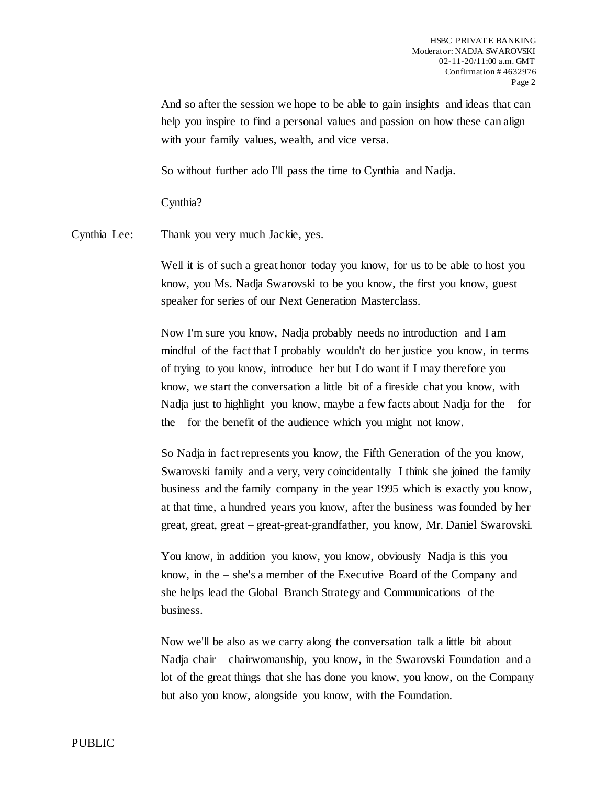And so after the session we hope to be able to gain insights and ideas that can help you inspire to find a personal values and passion on how these can align with your family values, wealth, and vice versa.

So without further ado I'll pass the time to Cynthia and Nadja.

Cynthia?

Cynthia Lee: Thank you very much Jackie, yes.

Well it is of such a great honor today you know, for us to be able to host you know, you Ms. Nadja Swarovski to be you know, the first you know, guest speaker for series of our Next Generation Masterclass.

Now I'm sure you know, Nadja probably needs no introduction and I am mindful of the fact that I probably wouldn't do her justice you know, in terms of trying to you know, introduce her but I do want if I may therefore you know, we start the conversation a little bit of a fireside chat you know, with Nadja just to highlight you know, maybe a few facts about Nadja for the  $-$  for the – for the benefit of the audience which you might not know.

So Nadja in fact represents you know, the Fifth Generation of the you know, Swarovski family and a very, very coincidentally I think she joined the family business and the family company in the year 1995 which is exactly you know, at that time, a hundred years you know, after the business was founded by her great, great, great – great-great-grandfather, you know, Mr. Daniel Swarovski.

You know, in addition you know, you know, obviously Nadja is this you know, in the – she's a member of the Executive Board of the Company and she helps lead the Global Branch Strategy and Communications of the business.

Now we'll be also as we carry along the conversation talk a little bit about Nadja chair – chairwomanship, you know, in the Swarovski Foundation and a lot of the great things that she has done you know, you know, on the Company but also you know, alongside you know, with the Foundation.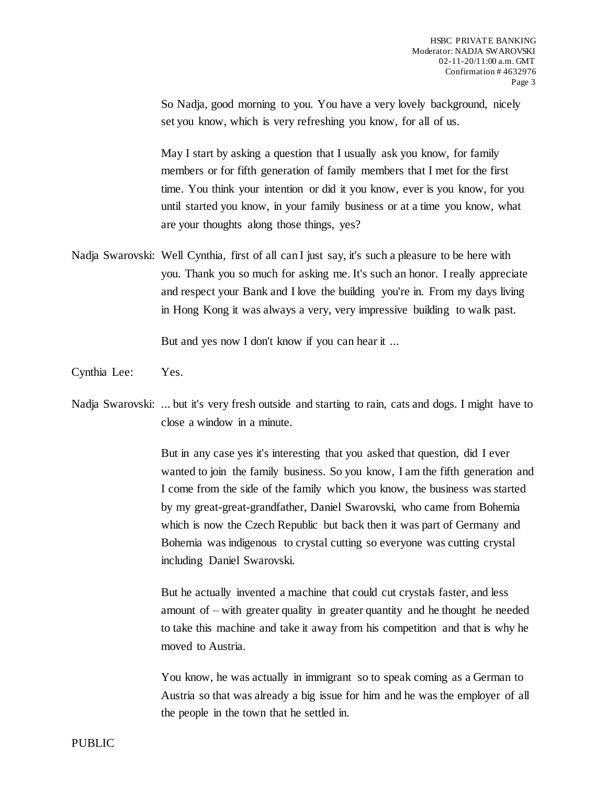So Nadja, good morning to you. You have a very lovely background, nicely set you know, which is very refreshing you know, for all of us.

May I start by asking a question that I usually ask you know, for family members or for fifth generation of family members that I met for the first time. You think your intention or did it you know, ever is you know, for you until started you know, in your family business or at a time you know, what are your thoughts along those things, yes?

Nadja Swarovski: Well Cynthia, first of all can I just say, it's such a pleasure to be here with you. Thank you so much for asking me. It's such an honor. I really appreciate and respect your Bank and I love the building you're in. From my days living in Hong Kong it was always a very, very impressive building to walk past.

But and yes now I don't know if you can hear it ...

Cynthia Lee: Yes.

Nadja Swarovski: ... but it's very fresh outside and starting to rain, cats and dogs. I might have to close a window in a minute.

> But in any case yes it's interesting that you asked that question, did I ever wanted to join the family business. So you know, I am the fifth generation and I come from the side of the family which you know, the business was started by my great-great-grandfather, Daniel Swarovski, who came from Bohemia which is now the Czech Republic but back then it was part of Germany and Bohemia was indigenous to crystal cutting so everyone was cutting crystal including Daniel Swarovski.

But he actually invented a machine that could cut crystals faster, and less amount of – with greater quality in greater quantity and he thought he needed to take this machine and take it away from his competition and that is why he moved to Austria.

You know, he was actually in immigrant so to speak coming as a German to Austria so that was already a big issue for him and he was the employer of all the people in the town that he settled in.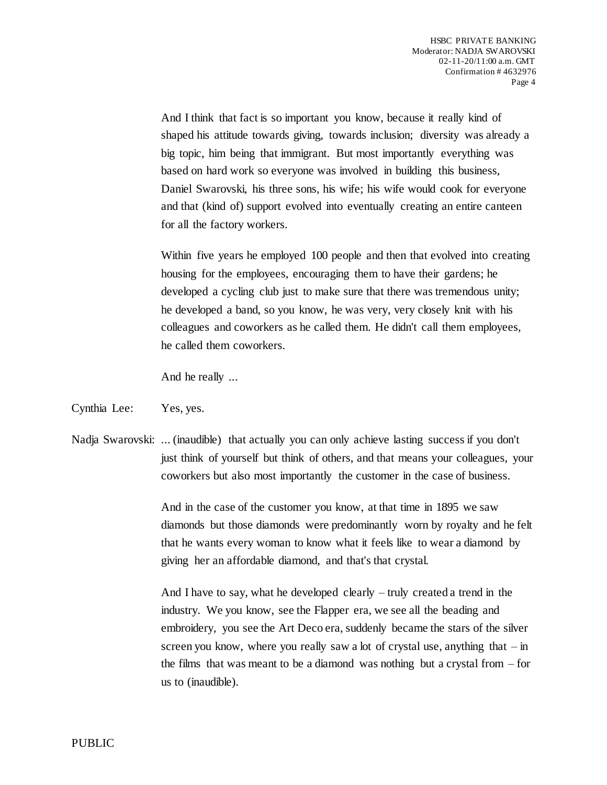And I think that fact is so important you know, because it really kind of shaped his attitude towards giving, towards inclusion; diversity was already a big topic, him being that immigrant. But most importantly everything was based on hard work so everyone was involved in building this business, Daniel Swarovski, his three sons, his wife; his wife would cook for everyone and that (kind of) support evolved into eventually creating an entire canteen for all the factory workers.

Within five years he employed 100 people and then that evolved into creating housing for the employees, encouraging them to have their gardens; he developed a cycling club just to make sure that there was tremendous unity; he developed a band, so you know, he was very, very closely knit with his colleagues and coworkers as he called them. He didn't call them employees, he called them coworkers.

And he really ...

## Cynthia Lee: Yes, yes.

Nadja Swarovski: ... (inaudible) that actually you can only achieve lasting success if you don't just think of yourself but think of others, and that means your colleagues, your coworkers but also most importantly the customer in the case of business.

> And in the case of the customer you know, at that time in 1895 we saw diamonds but those diamonds were predominantly worn by royalty and he felt that he wants every woman to know what it feels like to wear a diamond by giving her an affordable diamond, and that's that crystal.

> And I have to say, what he developed clearly – truly created a trend in the industry. We you know, see the Flapper era, we see all the beading and embroidery, you see the Art Deco era, suddenly became the stars of the silver screen you know, where you really saw a lot of crystal use, anything that  $-\text{in}$ the films that was meant to be a diamond was nothing but a crystal from – for us to (inaudible).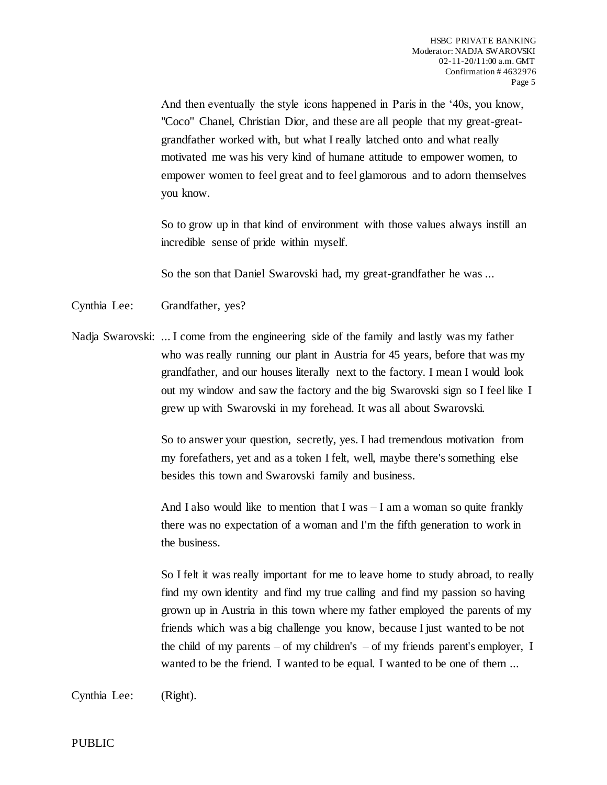And then eventually the style icons happened in Paris in the '40s, you know, "Coco" Chanel, Christian Dior, and these are all people that my great-greatgrandfather worked with, but what I really latched onto and what really motivated me was his very kind of humane attitude to empower women, to empower women to feel great and to feel glamorous and to adorn themselves you know.

So to grow up in that kind of environment with those values always instill an incredible sense of pride within myself.

So the son that Daniel Swarovski had, my great-grandfather he was ...

Cynthia Lee: Grandfather, yes?

Nadja Swarovski: ... I come from the engineering side of the family and lastly was my father who was really running our plant in Austria for 45 years, before that was my grandfather, and our houses literally next to the factory. I mean I would look out my window and saw the factory and the big Swarovski sign so I feel like I grew up with Swarovski in my forehead. It was all about Swarovski.

> So to answer your question, secretly, yes. I had tremendous motivation from my forefathers, yet and as a token I felt, well, maybe there's something else besides this town and Swarovski family and business.

> And I also would like to mention that I was  $-I$  am a woman so quite frankly there was no expectation of a woman and I'm the fifth generation to work in the business.

So I felt it was really important for me to leave home to study abroad, to really find my own identity and find my true calling and find my passion so having grown up in Austria in this town where my father employed the parents of my friends which was a big challenge you know, because I just wanted to be not the child of my parents – of my children's – of my friends parent's employer, I wanted to be the friend. I wanted to be equal. I wanted to be one of them ...

Cynthia Lee: (Right).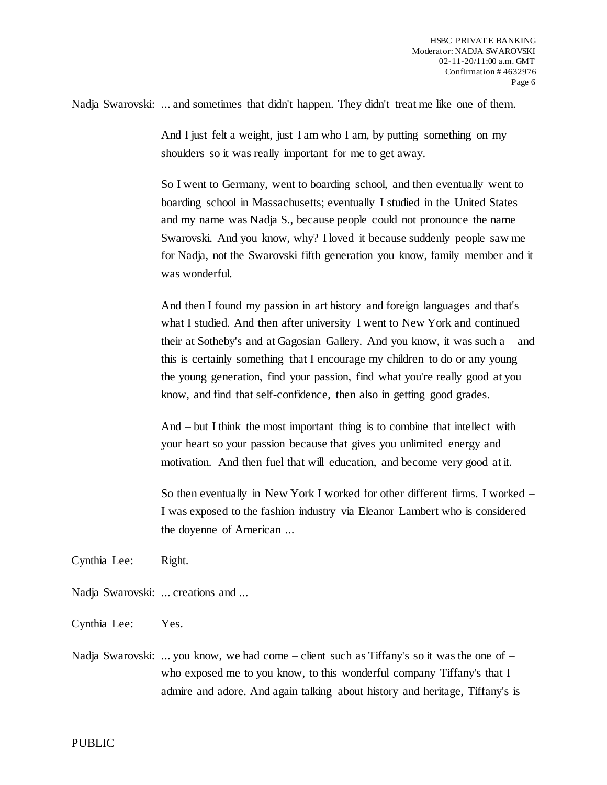Nadja Swarovski: ... and sometimes that didn't happen. They didn't treat me like one of them.

And I just felt a weight, just I am who I am, by putting something on my shoulders so it was really important for me to get away.

So I went to Germany, went to boarding school, and then eventually went to boarding school in Massachusetts; eventually I studied in the United States and my name was Nadja S., because people could not pronounce the name Swarovski. And you know, why? I loved it because suddenly people saw me for Nadja, not the Swarovski fifth generation you know, family member and it was wonderful.

And then I found my passion in art history and foreign languages and that's what I studied. And then after university I went to New York and continued their at Sotheby's and at Gagosian Gallery. And you know, it was such a – and this is certainly something that I encourage my children to do or any young – the young generation, find your passion, find what you're really good at you know, and find that self-confidence, then also in getting good grades.

And – but I think the most important thing is to combine that intellect with your heart so your passion because that gives you unlimited energy and motivation. And then fuel that will education, and become very good at it.

So then eventually in New York I worked for other different firms. I worked – I was exposed to the fashion industry via Eleanor Lambert who is considered the doyenne of American ...

Cynthia Lee: Right.

- Nadja Swarovski: ... creations and ...
- Cynthia Lee: Yes.
- Nadja Swarovski: ... you know, we had come client such as Tiffany's so it was the one of who exposed me to you know, to this wonderful company Tiffany's that I admire and adore. And again talking about history and heritage, Tiffany's is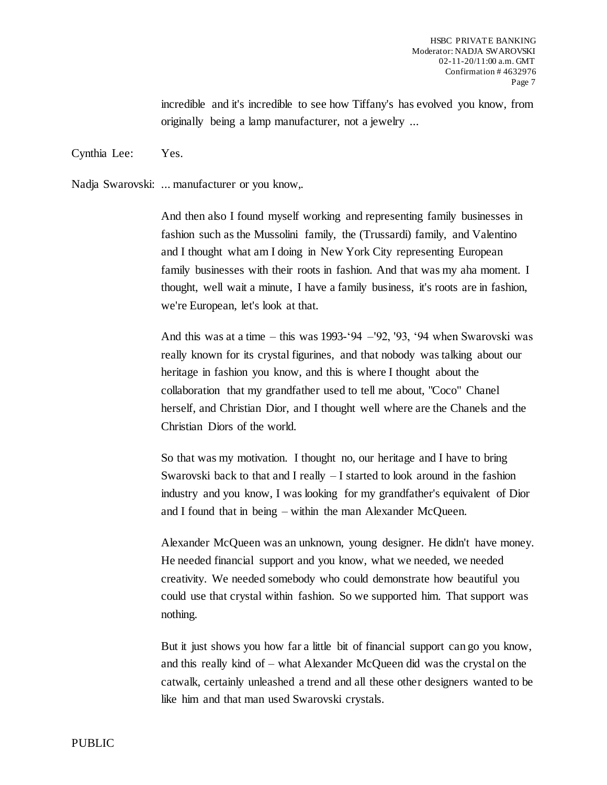incredible and it's incredible to see how Tiffany's has evolved you know, from originally being a lamp manufacturer, not a jewelry ...

Cynthia Lee: Yes.

Nadja Swarovski: ... manufacturer or you know,.

And then also I found myself working and representing family businesses in fashion such as the Mussolini family, the (Trussardi) family, and Valentino and I thought what am I doing in New York City representing European family businesses with their roots in fashion. And that was my aha moment. I thought, well wait a minute, I have a family business, it's roots are in fashion, we're European, let's look at that.

And this was at a time – this was 1993-'94 –'92, '93, '94 when Swarovski was really known for its crystal figurines, and that nobody was talking about our heritage in fashion you know, and this is where I thought about the collaboration that my grandfather used to tell me about, "Coco" Chanel herself, and Christian Dior, and I thought well where are the Chanels and the Christian Diors of the world.

So that was my motivation. I thought no, our heritage and I have to bring Swarovski back to that and I really – I started to look around in the fashion industry and you know, I was looking for my grandfather's equivalent of Dior and I found that in being – within the man Alexander McQueen.

Alexander McQueen was an unknown, young designer. He didn't have money. He needed financial support and you know, what we needed, we needed creativity. We needed somebody who could demonstrate how beautiful you could use that crystal within fashion. So we supported him. That support was nothing.

But it just shows you how far a little bit of financial support can go you know, and this really kind of – what Alexander McQueen did was the crystal on the catwalk, certainly unleashed a trend and all these other designers wanted to be like him and that man used Swarovski crystals.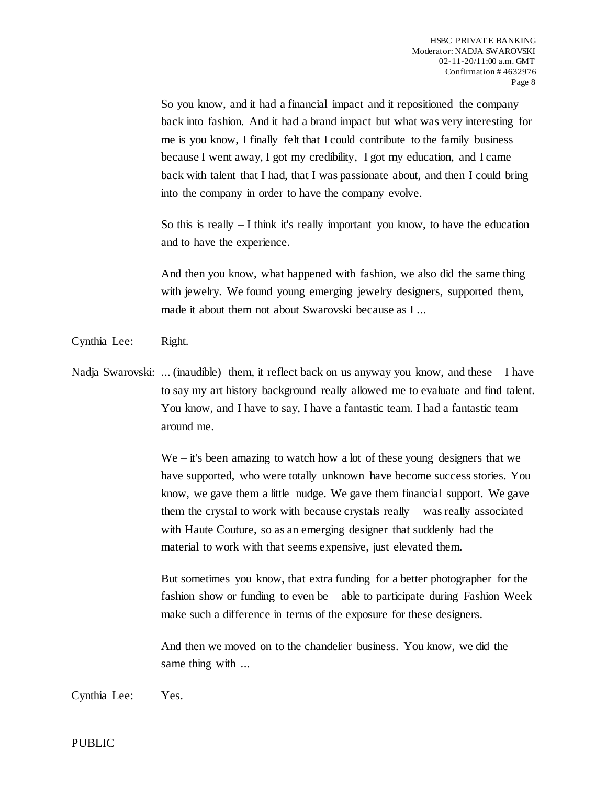So you know, and it had a financial impact and it repositioned the company back into fashion. And it had a brand impact but what was very interesting for me is you know, I finally felt that I could contribute to the family business because I went away, I got my credibility, I got my education, and I came back with talent that I had, that I was passionate about, and then I could bring into the company in order to have the company evolve.

So this is really  $-I$  think it's really important you know, to have the education and to have the experience.

And then you know, what happened with fashion, we also did the same thing with jewelry. We found young emerging jewelry designers, supported them, made it about them not about Swarovski because as I ...

Cynthia Lee: Right.

Nadja Swarovski: ... (inaudible) them, it reflect back on us anyway you know, and these  $-I$  have to say my art history background really allowed me to evaluate and find talent. You know, and I have to say, I have a fantastic team. I had a fantastic team around me.

> We – it's been amazing to watch how a lot of these young designers that we have supported, who were totally unknown have become success stories. You know, we gave them a little nudge. We gave them financial support. We gave them the crystal to work with because crystals really – was really associated with Haute Couture, so as an emerging designer that suddenly had the material to work with that seems expensive, just elevated them.

> But sometimes you know, that extra funding for a better photographer for the fashion show or funding to even be – able to participate during Fashion Week make such a difference in terms of the exposure for these designers.

And then we moved on to the chandelier business. You know, we did the same thing with ...

Cynthia Lee: Yes.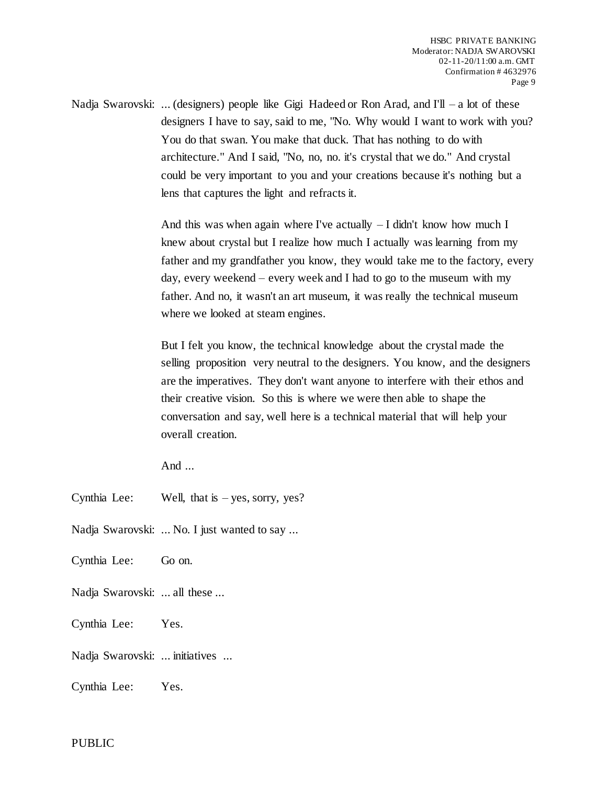Nadja Swarovski: ... (designers) people like Gigi Hadeed or Ron Arad, and  $I'll - a$  lot of these designers I have to say, said to me, "No. Why would I want to work with you? You do that swan. You make that duck. That has nothing to do with architecture." And I said, "No, no, no. it's crystal that we do." And crystal could be very important to you and your creations because it's nothing but a lens that captures the light and refracts it.

> And this was when again where I've actually  $-I$  didn't know how much I knew about crystal but I realize how much I actually was learning from my father and my grandfather you know, they would take me to the factory, every day, every weekend – every week and I had to go to the museum with my father. And no, it wasn't an art museum, it was really the technical museum where we looked at steam engines.

> But I felt you know, the technical knowledge about the crystal made the selling proposition very neutral to the designers. You know, and the designers are the imperatives. They don't want anyone to interfere with their ethos and their creative vision. So this is where we were then able to shape the conversation and say, well here is a technical material that will help your overall creation.

And ...

Cynthia Lee: Well, that is – yes, sorry, yes?

Nadja Swarovski: ... No. I just wanted to say ...

- Cynthia Lee: Go on.
- Nadja Swarovski: ... all these ...
- Cynthia Lee: Yes.

Nadja Swarovski: ... initiatives ...

Cynthia Lee: Yes.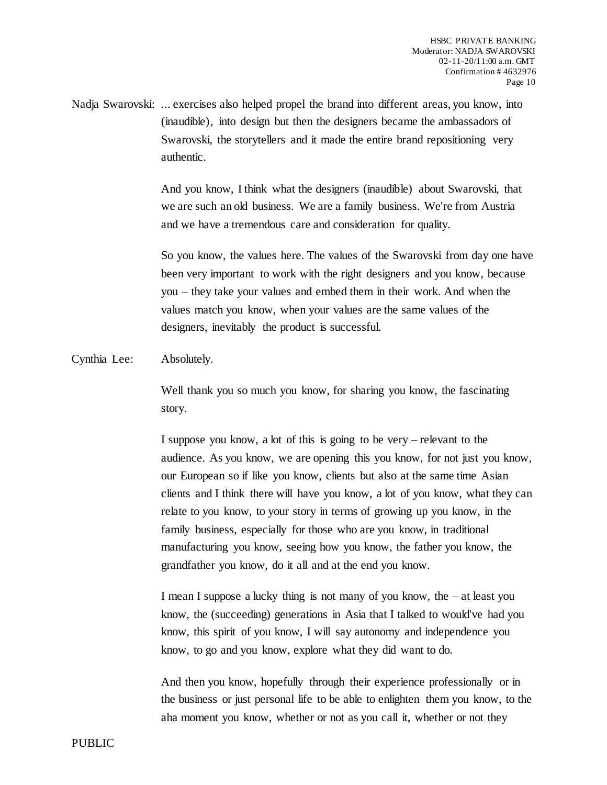Nadja Swarovski: ... exercises also helped propel the brand into different areas, you know, into (inaudible), into design but then the designers became the ambassadors of Swarovski, the storytellers and it made the entire brand repositioning very authentic.

> And you know, I think what the designers (inaudible) about Swarovski, that we are such an old business. We are a family business. We're from Austria and we have a tremendous care and consideration for quality.

So you know, the values here. The values of the Swarovski from day one have been very important to work with the right designers and you know, because you – they take your values and embed them in their work. And when the values match you know, when your values are the same values of the designers, inevitably the product is successful.

Cynthia Lee: Absolutely.

Well thank you so much you know, for sharing you know, the fascinating story.

I suppose you know, a lot of this is going to be very – relevant to the audience. As you know, we are opening this you know, for not just you know, our European so if like you know, clients but also at the same time Asian clients and I think there will have you know, a lot of you know, what they can relate to you know, to your story in terms of growing up you know, in the family business, especially for those who are you know, in traditional manufacturing you know, seeing how you know, the father you know, the grandfather you know, do it all and at the end you know.

I mean I suppose a lucky thing is not many of you know, the – at least you know, the (succeeding) generations in Asia that I talked to would've had you know, this spirit of you know, I will say autonomy and independence you know, to go and you know, explore what they did want to do.

And then you know, hopefully through their experience professionally or in the business or just personal life to be able to enlighten them you know, to the aha moment you know, whether or not as you call it, whether or not they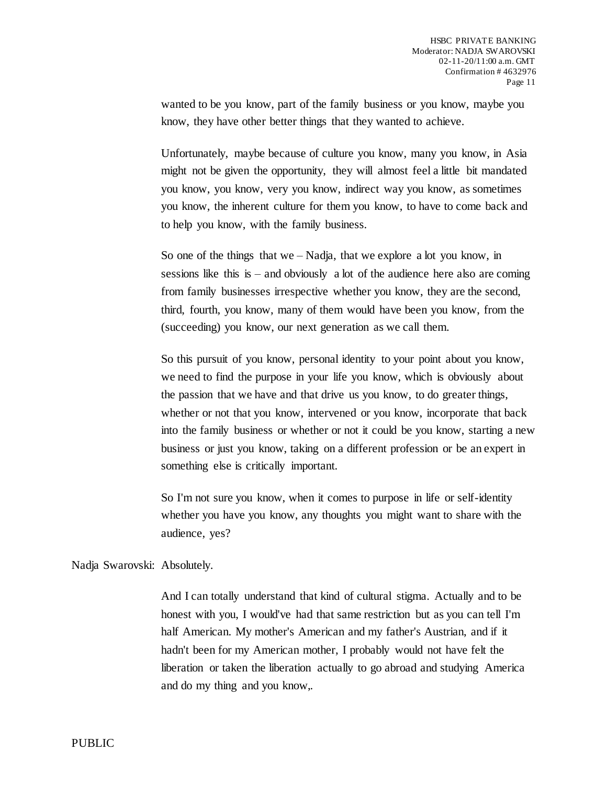wanted to be you know, part of the family business or you know, maybe you know, they have other better things that they wanted to achieve.

Unfortunately, maybe because of culture you know, many you know, in Asia might not be given the opportunity, they will almost feel a little bit mandated you know, you know, very you know, indirect way you know, as sometimes you know, the inherent culture for them you know, to have to come back and to help you know, with the family business.

So one of the things that we – Nadja, that we explore a lot you know, in sessions like this is – and obviously a lot of the audience here also are coming from family businesses irrespective whether you know, they are the second, third, fourth, you know, many of them would have been you know, from the (succeeding) you know, our next generation as we call them.

So this pursuit of you know, personal identity to your point about you know, we need to find the purpose in your life you know, which is obviously about the passion that we have and that drive us you know, to do greater things, whether or not that you know, intervened or you know, incorporate that back into the family business or whether or not it could be you know, starting a new business or just you know, taking on a different profession or be an expert in something else is critically important.

So I'm not sure you know, when it comes to purpose in life or self-identity whether you have you know, any thoughts you might want to share with the audience, yes?

Nadja Swarovski: Absolutely.

And I can totally understand that kind of cultural stigma. Actually and to be honest with you, I would've had that same restriction but as you can tell I'm half American. My mother's American and my father's Austrian, and if it hadn't been for my American mother, I probably would not have felt the liberation or taken the liberation actually to go abroad and studying America and do my thing and you know,.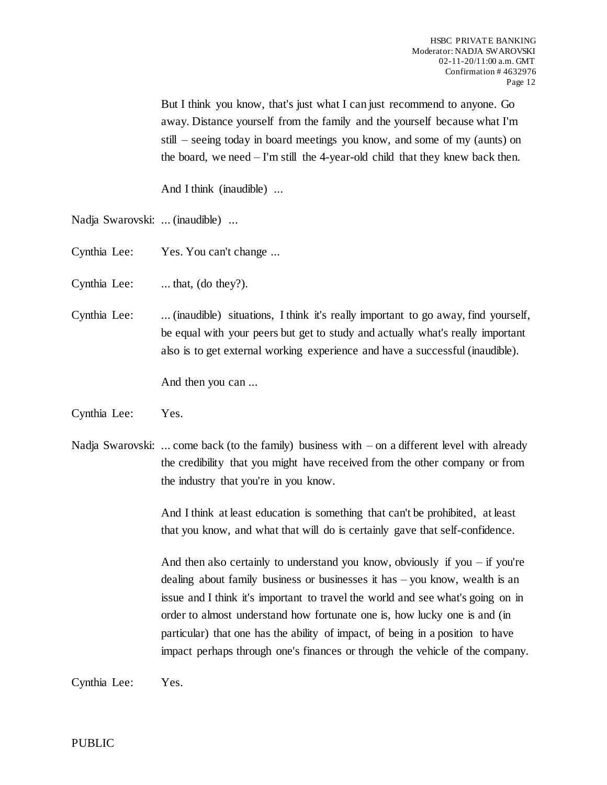But I think you know, that's just what I can just recommend to anyone. Go away. Distance yourself from the family and the yourself because what I'm still – seeing today in board meetings you know, and some of my (aunts) on the board, we need – I'm still the 4-year-old child that they knew back then.

And I think (inaudible) ...

Nadja Swarovski: ... (inaudible) ...

Cynthia Lee: Yes. You can't change ...

Cynthia Lee: ... that, (do they?).

Cynthia Lee: ... (inaudible) situations, I think it's really important to go away, find yourself, be equal with your peers but get to study and actually what's really important also is to get external working experience and have a successful (inaudible).

And then you can ...

Cynthia Lee: Yes.

Nadja Swarovski: ... come back (to the family) business with  $-$  on a different level with already the credibility that you might have received from the other company or from the industry that you're in you know.

> And I think at least education is something that can't be prohibited, at least that you know, and what that will do is certainly gave that self-confidence.

And then also certainly to understand you know, obviously if you – if you're dealing about family business or businesses it has – you know, wealth is an issue and I think it's important to travel the world and see what's going on in order to almost understand how fortunate one is, how lucky one is and (in particular) that one has the ability of impact, of being in a position to have impact perhaps through one's finances or through the vehicle of the company.

Cynthia Lee: Yes.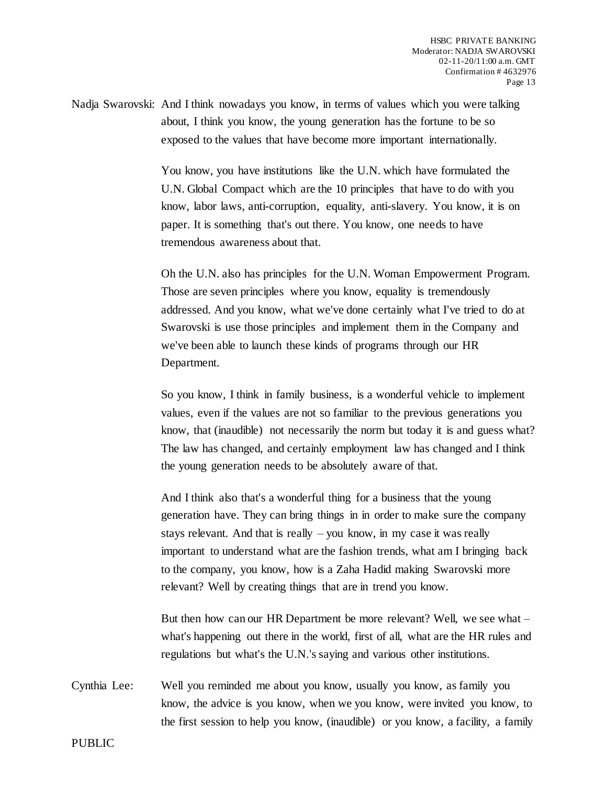Nadja Swarovski: And I think nowadays you know, in terms of values which you were talking about, I think you know, the young generation has the fortune to be so exposed to the values that have become more important internationally.

> You know, you have institutions like the U.N. which have formulated the U.N. Global Compact which are the 10 principles that have to do with you know, labor laws, anti-corruption, equality, anti-slavery. You know, it is on paper. It is something that's out there. You know, one needs to have tremendous awareness about that.

Oh the U.N. also has principles for the U.N. Woman Empowerment Program. Those are seven principles where you know, equality is tremendously addressed. And you know, what we've done certainly what I've tried to do at Swarovski is use those principles and implement them in the Company and we've been able to launch these kinds of programs through our HR Department.

So you know, I think in family business, is a wonderful vehicle to implement values, even if the values are not so familiar to the previous generations you know, that (inaudible) not necessarily the norm but today it is and guess what? The law has changed, and certainly employment law has changed and I think the young generation needs to be absolutely aware of that.

And I think also that's a wonderful thing for a business that the young generation have. They can bring things in in order to make sure the company stays relevant. And that is really – you know, in my case it was really important to understand what are the fashion trends, what am I bringing back to the company, you know, how is a Zaha Hadid making Swarovski more relevant? Well by creating things that are in trend you know.

But then how can our HR Department be more relevant? Well, we see what – what's happening out there in the world, first of all, what are the HR rules and regulations but what's the U.N.'s saying and various other institutions.

Cynthia Lee: Well you reminded me about you know, usually you know, as family you know, the advice is you know, when we you know, were invited you know, to the first session to help you know, (inaudible) or you know, a facility, a family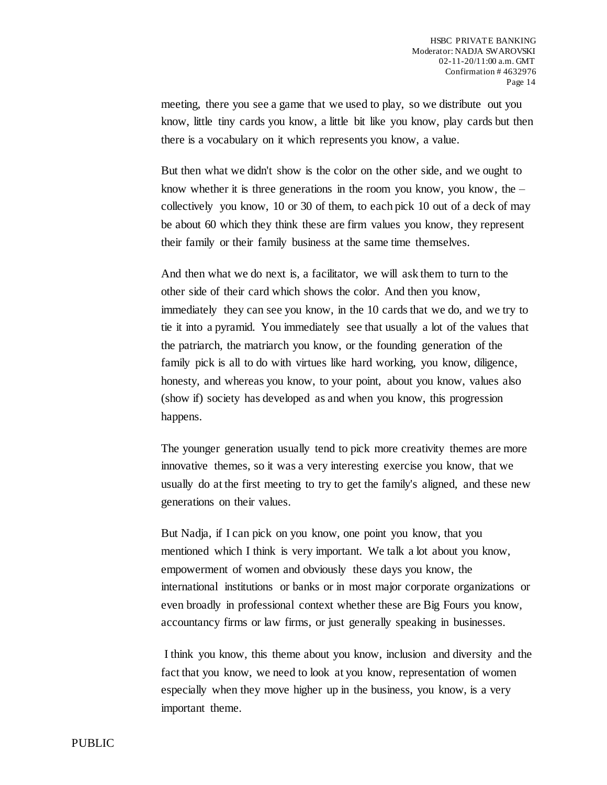meeting, there you see a game that we used to play, so we distribute out you know, little tiny cards you know, a little bit like you know, play cards but then there is a vocabulary on it which represents you know, a value.

But then what we didn't show is the color on the other side, and we ought to know whether it is three generations in the room you know, you know, the  $$ collectively you know, 10 or 30 of them, to each pick 10 out of a deck of may be about 60 which they think these are firm values you know, they represent their family or their family business at the same time themselves.

And then what we do next is, a facilitator, we will ask them to turn to the other side of their card which shows the color. And then you know, immediately they can see you know, in the 10 cards that we do, and we try to tie it into a pyramid. You immediately see that usually a lot of the values that the patriarch, the matriarch you know, or the founding generation of the family pick is all to do with virtues like hard working, you know, diligence, honesty, and whereas you know, to your point, about you know, values also (show if) society has developed as and when you know, this progression happens.

The younger generation usually tend to pick more creativity themes are more innovative themes, so it was a very interesting exercise you know, that we usually do at the first meeting to try to get the family's aligned, and these new generations on their values.

But Nadja, if I can pick on you know, one point you know, that you mentioned which I think is very important. We talk a lot about you know, empowerment of women and obviously these days you know, the international institutions or banks or in most major corporate organizations or even broadly in professional context whether these are Big Fours you know, accountancy firms or law firms, or just generally speaking in businesses.

I think you know, this theme about you know, inclusion and diversity and the fact that you know, we need to look at you know, representation of women especially when they move higher up in the business, you know, is a very important theme.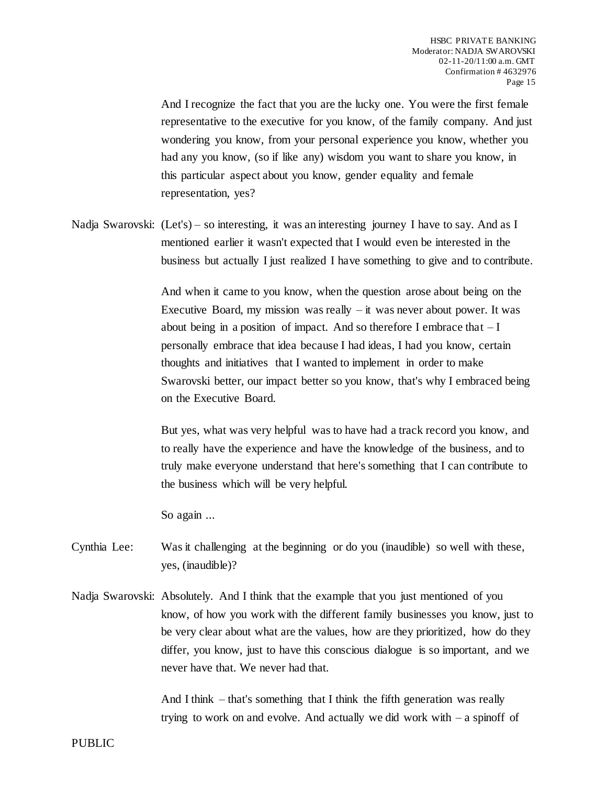And I recognize the fact that you are the lucky one. You were the first female representative to the executive for you know, of the family company. And just wondering you know, from your personal experience you know, whether you had any you know, (so if like any) wisdom you want to share you know, in this particular aspect about you know, gender equality and female representation, yes?

Nadja Swarovski: (Let's) – so interesting, it was an interesting journey I have to say. And as I mentioned earlier it wasn't expected that I would even be interested in the business but actually I just realized I have something to give and to contribute.

> And when it came to you know, when the question arose about being on the Executive Board, my mission was really  $-$  it was never about power. It was about being in a position of impact. And so therefore I embrace that  $-I$ personally embrace that idea because I had ideas, I had you know, certain thoughts and initiatives that I wanted to implement in order to make Swarovski better, our impact better so you know, that's why I embraced being on the Executive Board.

> But yes, what was very helpful was to have had a track record you know, and to really have the experience and have the knowledge of the business, and to truly make everyone understand that here's something that I can contribute to the business which will be very helpful.

So again ...

Cynthia Lee: Was it challenging at the beginning or do you (inaudible) so well with these, yes, (inaudible)?

Nadja Swarovski: Absolutely. And I think that the example that you just mentioned of you know, of how you work with the different family businesses you know, just to be very clear about what are the values, how are they prioritized, how do they differ, you know, just to have this conscious dialogue is so important, and we never have that. We never had that.

> And I think – that's something that I think the fifth generation was really trying to work on and evolve. And actually we did work with  $-a$  spinoff of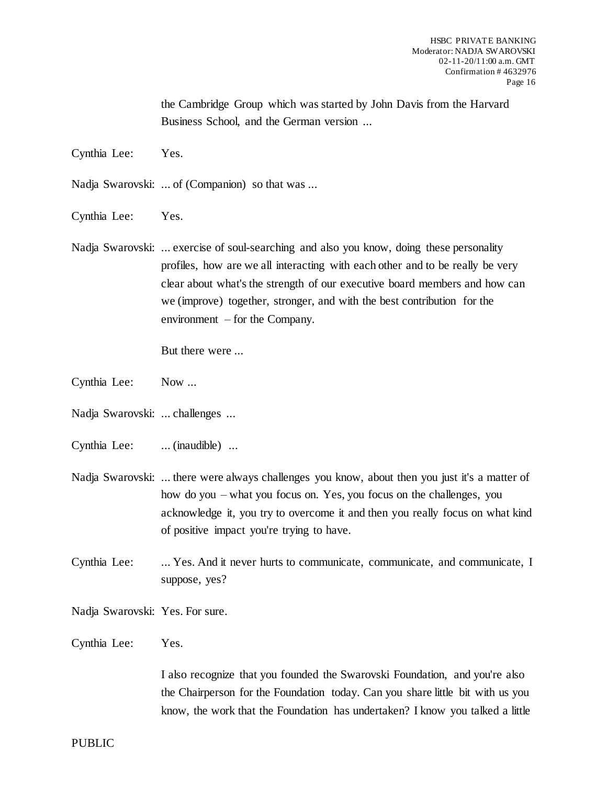the Cambridge Group which was started by John Davis from the Harvard Business School, and the German version ...

Cynthia Lee: Yes.

Nadja Swarovski: ... of (Companion) so that was ...

Cynthia Lee: Yes.

Nadja Swarovski: ... exercise of soul-searching and also you know, doing these personality profiles, how are we all interacting with each other and to be really be very clear about what's the strength of our executive board members and how can we (improve) together, stronger, and with the best contribution for the environment – for the Company.

But there were ...

- Cynthia Lee: Now ...
- Nadja Swarovski: ... challenges ...
- Cynthia Lee: ... (inaudible) ...
- Nadja Swarovski: ... there were always challenges you know, about then you just it's a matter of how do you – what you focus on. Yes, you focus on the challenges, you acknowledge it, you try to overcome it and then you really focus on what kind of positive impact you're trying to have.
- Cynthia Lee: ... Yes. And it never hurts to communicate, communicate, and communicate, I suppose, yes?

Nadja Swarovski: Yes. For sure.

Cynthia Lee: Yes.

I also recognize that you founded the Swarovski Foundation, and you're also the Chairperson for the Foundation today. Can you share little bit with us you know, the work that the Foundation has undertaken? I know you talked a little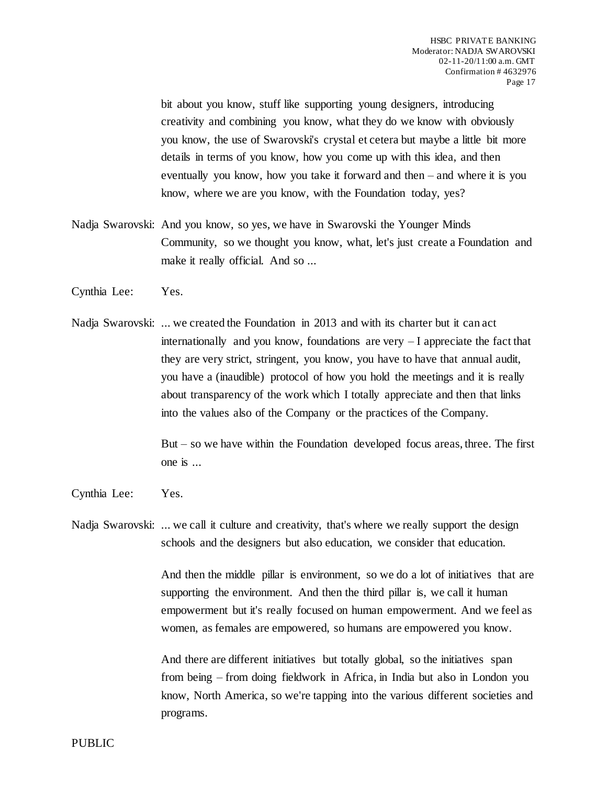bit about you know, stuff like supporting young designers, introducing creativity and combining you know, what they do we know with obviously you know, the use of Swarovski's crystal et cetera but maybe a little bit more details in terms of you know, how you come up with this idea, and then eventually you know, how you take it forward and then – and where it is you know, where we are you know, with the Foundation today, yes?

- Nadja Swarovski: And you know, so yes, we have in Swarovski the Younger Minds Community, so we thought you know, what, let's just create a Foundation and make it really official. And so ...
- Cynthia Lee: Yes.
- Nadja Swarovski: ... we created the Foundation in 2013 and with its charter but it can act internationally and you know, foundations are very – I appreciate the fact that they are very strict, stringent, you know, you have to have that annual audit, you have a (inaudible) protocol of how you hold the meetings and it is really about transparency of the work which I totally appreciate and then that links into the values also of the Company or the practices of the Company.

But – so we have within the Foundation developed focus areas, three. The first one is ...

Cynthia Lee: Yes.

Nadja Swarovski: ... we call it culture and creativity, that's where we really support the design schools and the designers but also education, we consider that education.

> And then the middle pillar is environment, so we do a lot of initiatives that are supporting the environment. And then the third pillar is, we call it human empowerment but it's really focused on human empowerment. And we feel as women, as females are empowered, so humans are empowered you know.

> And there are different initiatives but totally global, so the initiatives span from being – from doing fieldwork in Africa, in India but also in London you know, North America, so we're tapping into the various different societies and programs.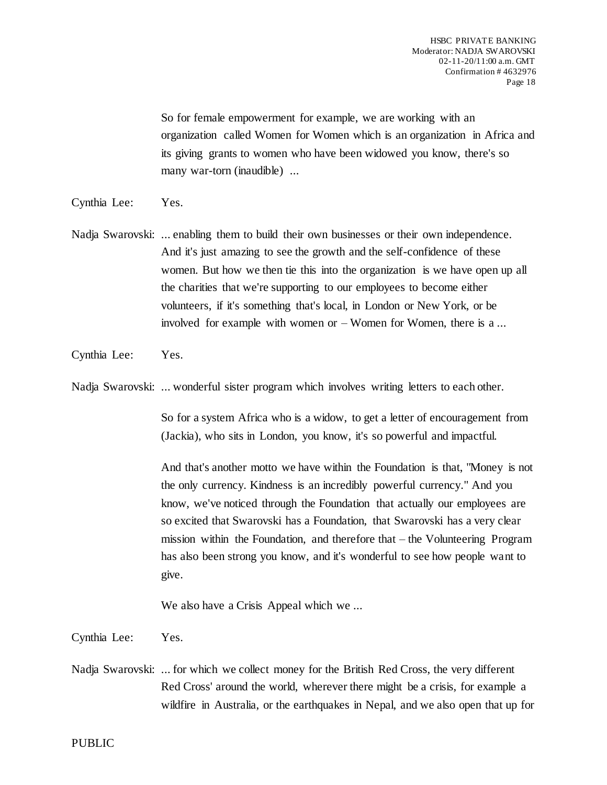So for female empowerment for example, we are working with an organization called Women for Women which is an organization in Africa and its giving grants to women who have been widowed you know, there's so many war-torn (inaudible) ...

- Cynthia Lee: Yes.
- Nadja Swarovski: ... enabling them to build their own businesses or their own independence. And it's just amazing to see the growth and the self-confidence of these women. But how we then tie this into the organization is we have open up all the charities that we're supporting to our employees to become either volunteers, if it's something that's local, in London or New York, or be involved for example with women or – Women for Women, there is a ...
- Cynthia Lee: Yes.

Nadja Swarovski: ... wonderful sister program which involves writing letters to each other.

So for a system Africa who is a widow, to get a letter of encouragement from (Jackia), who sits in London, you know, it's so powerful and impactful.

And that's another motto we have within the Foundation is that, "Money is not the only currency. Kindness is an incredibly powerful currency." And you know, we've noticed through the Foundation that actually our employees are so excited that Swarovski has a Foundation, that Swarovski has a very clear mission within the Foundation, and therefore that – the Volunteering Program has also been strong you know, and it's wonderful to see how people want to give.

We also have a Crisis Appeal which we ...

Cynthia Lee: Yes.

Nadja Swarovski: ... for which we collect money for the British Red Cross, the very different Red Cross' around the world, wherever there might be a crisis, for example a wildfire in Australia, or the earthquakes in Nepal, and we also open that up for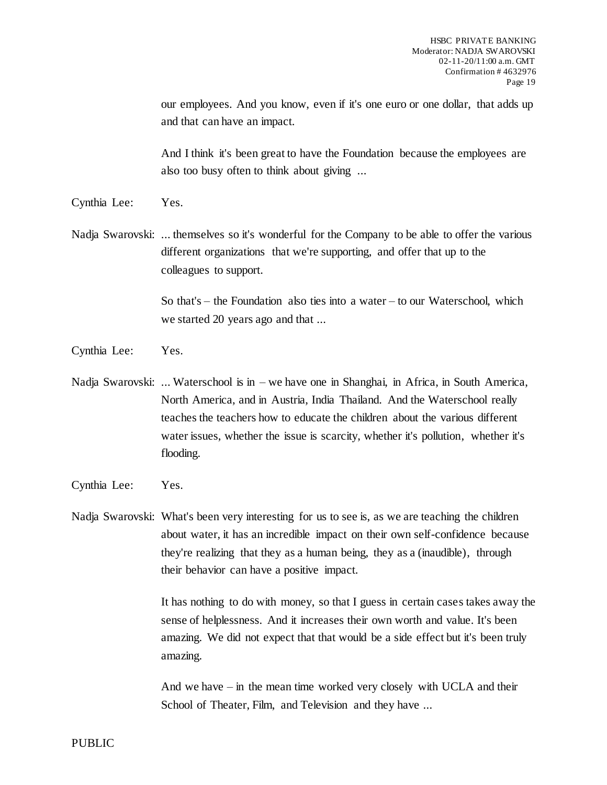our employees. And you know, even if it's one euro or one dollar, that adds up and that can have an impact.

And I think it's been great to have the Foundation because the employees are also too busy often to think about giving ...

- Cynthia Lee: Yes.
- Nadja Swarovski: ... themselves so it's wonderful for the Company to be able to offer the various different organizations that we're supporting, and offer that up to the colleagues to support.

So that's – the Foundation also ties into a water – to our Waterschool, which we started 20 years ago and that ...

- Cynthia Lee: Yes.
- Nadja Swarovski: ... Waterschool is in we have one in Shanghai, in Africa, in South America, North America, and in Austria, India Thailand. And the Waterschool really teaches the teachers how to educate the children about the various different water issues, whether the issue is scarcity, whether it's pollution, whether it's flooding.
- Cynthia Lee: Yes.

Nadja Swarovski: What's been very interesting for us to see is, as we are teaching the children about water, it has an incredible impact on their own self-confidence because they're realizing that they as a human being, they as a (inaudible), through their behavior can have a positive impact.

> It has nothing to do with money, so that I guess in certain cases takes away the sense of helplessness. And it increases their own worth and value. It's been amazing. We did not expect that that would be a side effect but it's been truly amazing.

And we have – in the mean time worked very closely with UCLA and their School of Theater, Film, and Television and they have ...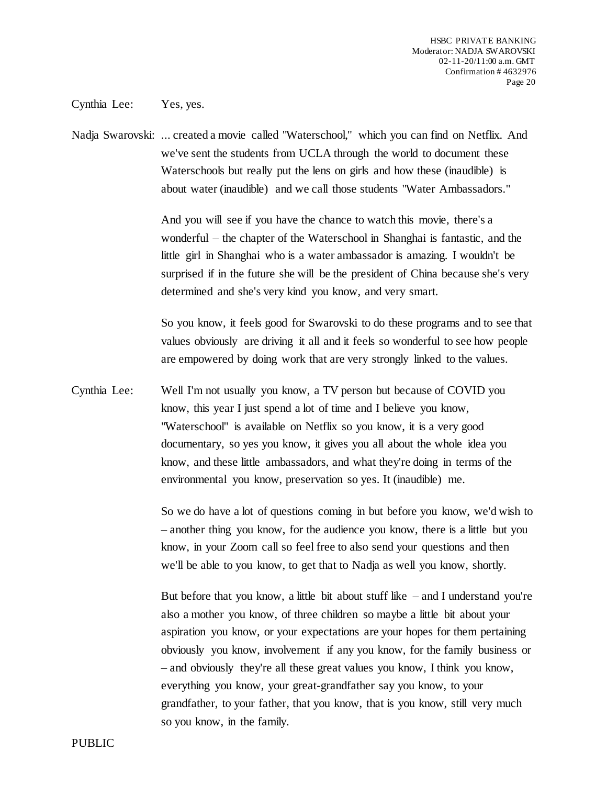Cynthia Lee: Yes, yes.

Nadja Swarovski: ... created a movie called "Waterschool," which you can find on Netflix. And we've sent the students from UCLA through the world to document these Waterschools but really put the lens on girls and how these (inaudible) is about water (inaudible) and we call those students "Water Ambassadors."

> And you will see if you have the chance to watch this movie, there's a wonderful – the chapter of the Waterschool in Shanghai is fantastic, and the little girl in Shanghai who is a water ambassador is amazing. I wouldn't be surprised if in the future she will be the president of China because she's very determined and she's very kind you know, and very smart.

> So you know, it feels good for Swarovski to do these programs and to see that values obviously are driving it all and it feels so wonderful to see how people are empowered by doing work that are very strongly linked to the values.

Cynthia Lee: Well I'm not usually you know, a TV person but because of COVID you know, this year I just spend a lot of time and I believe you know, "Waterschool" is available on Netflix so you know, it is a very good documentary, so yes you know, it gives you all about the whole idea you know, and these little ambassadors, and what they're doing in terms of the environmental you know, preservation so yes. It (inaudible) me.

> So we do have a lot of questions coming in but before you know, we'd wish to – another thing you know, for the audience you know, there is a little but you know, in your Zoom call so feel free to also send your questions and then we'll be able to you know, to get that to Nadja as well you know, shortly.

> But before that you know, a little bit about stuff like  $-$  and I understand you're also a mother you know, of three children so maybe a little bit about your aspiration you know, or your expectations are your hopes for them pertaining obviously you know, involvement if any you know, for the family business or – and obviously they're all these great values you know, I think you know, everything you know, your great-grandfather say you know, to your grandfather, to your father, that you know, that is you know, still very much so you know, in the family.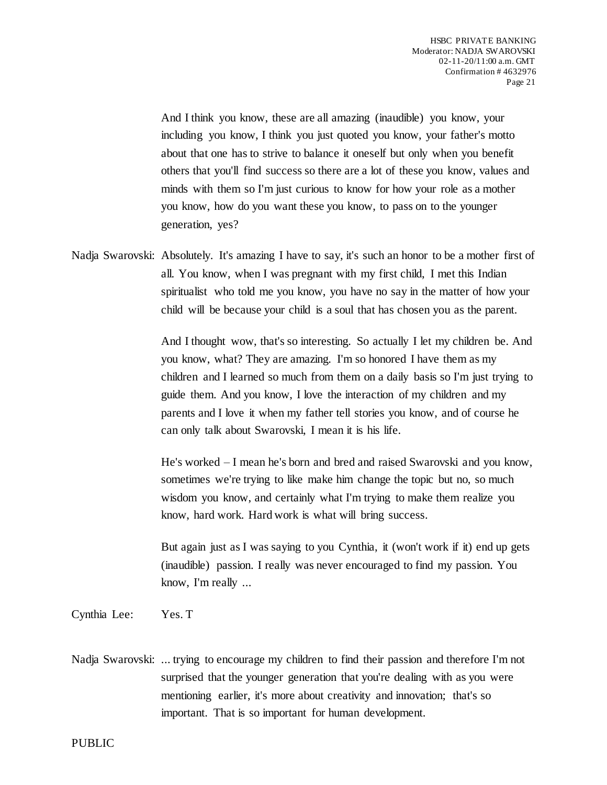And I think you know, these are all amazing (inaudible) you know, your including you know, I think you just quoted you know, your father's motto about that one has to strive to balance it oneself but only when you benefit others that you'll find success so there are a lot of these you know, values and minds with them so I'm just curious to know for how your role as a mother you know, how do you want these you know, to pass on to the younger generation, yes?

Nadja Swarovski: Absolutely. It's amazing I have to say, it's such an honor to be a mother first of all. You know, when I was pregnant with my first child, I met this Indian spiritualist who told me you know, you have no say in the matter of how your child will be because your child is a soul that has chosen you as the parent.

> And I thought wow, that's so interesting. So actually I let my children be. And you know, what? They are amazing. I'm so honored I have them as my children and I learned so much from them on a daily basis so I'm just trying to guide them. And you know, I love the interaction of my children and my parents and I love it when my father tell stories you know, and of course he can only talk about Swarovski, I mean it is his life.

> He's worked – I mean he's born and bred and raised Swarovski and you know, sometimes we're trying to like make him change the topic but no, so much wisdom you know, and certainly what I'm trying to make them realize you know, hard work. Hard work is what will bring success.

> But again just as I was saying to you Cynthia, it (won't work if it) end up gets (inaudible) passion. I really was never encouraged to find my passion. You know, I'm really ...

Cynthia Lee: Yes. T

Nadja Swarovski: ... trying to encourage my children to find their passion and therefore I'm not surprised that the younger generation that you're dealing with as you were mentioning earlier, it's more about creativity and innovation; that's so important. That is so important for human development.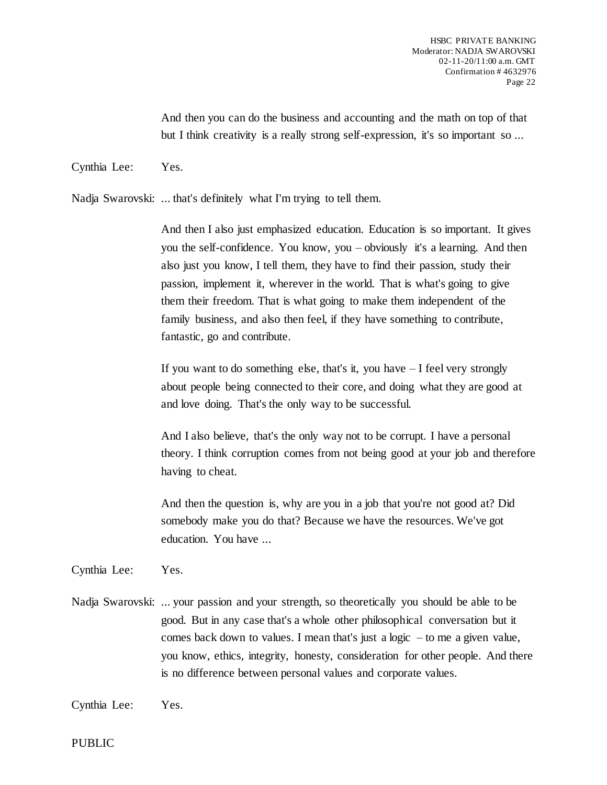And then you can do the business and accounting and the math on top of that but I think creativity is a really strong self-expression, it's so important so ...

Cynthia Lee: Yes.

Nadja Swarovski: ... that's definitely what I'm trying to tell them.

And then I also just emphasized education. Education is so important. It gives you the self-confidence. You know, you – obviously it's a learning. And then also just you know, I tell them, they have to find their passion, study their passion, implement it, wherever in the world. That is what's going to give them their freedom. That is what going to make them independent of the family business, and also then feel, if they have something to contribute, fantastic, go and contribute.

If you want to do something else, that's it, you have  $-I$  feel very strongly about people being connected to their core, and doing what they are good at and love doing. That's the only way to be successful.

And I also believe, that's the only way not to be corrupt. I have a personal theory. I think corruption comes from not being good at your job and therefore having to cheat.

And then the question is, why are you in a job that you're not good at? Did somebody make you do that? Because we have the resources. We've got education. You have ...

Cynthia Lee: Yes.

Nadja Swarovski: ... your passion and your strength, so theoretically you should be able to be good. But in any case that's a whole other philosophical conversation but it comes back down to values. I mean that's just a logic – to me a given value, you know, ethics, integrity, honesty, consideration for other people. And there is no difference between personal values and corporate values.

Cynthia Lee: Yes.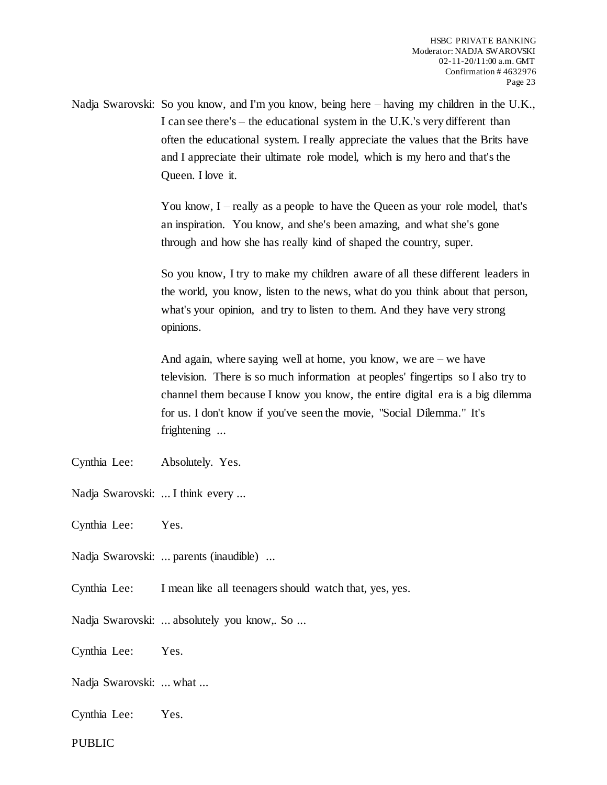Nadja Swarovski: So you know, and I'm you know, being here – having my children in the U.K., I can see there's – the educational system in the U.K.'s very different than often the educational system. I really appreciate the values that the Brits have and I appreciate their ultimate role model, which is my hero and that's the Queen. I love it.

> You know, I – really as a people to have the Queen as your role model, that's an inspiration. You know, and she's been amazing, and what she's gone through and how she has really kind of shaped the country, super.

So you know, I try to make my children aware of all these different leaders in the world, you know, listen to the news, what do you think about that person, what's your opinion, and try to listen to them. And they have very strong opinions.

And again, where saying well at home, you know, we are – we have television. There is so much information at peoples' fingertips so I also try to channel them because I know you know, the entire digital era is a big dilemma for us. I don't know if you've seen the movie, "Social Dilemma." It's frightening ...

- Cynthia Lee: Absolutely. Yes.
- Nadja Swarovski: ... I think every ...
- Cynthia Lee: Yes.

Nadja Swarovski: ... parents (inaudible) ...

- Cynthia Lee: I mean like all teenagers should watch that, yes, yes.
- Nadja Swarovski: ... absolutely you know,. So ...

Cynthia Lee: Yes.

- Nadja Swarovski: ... what ...
- Cynthia Lee: Yes.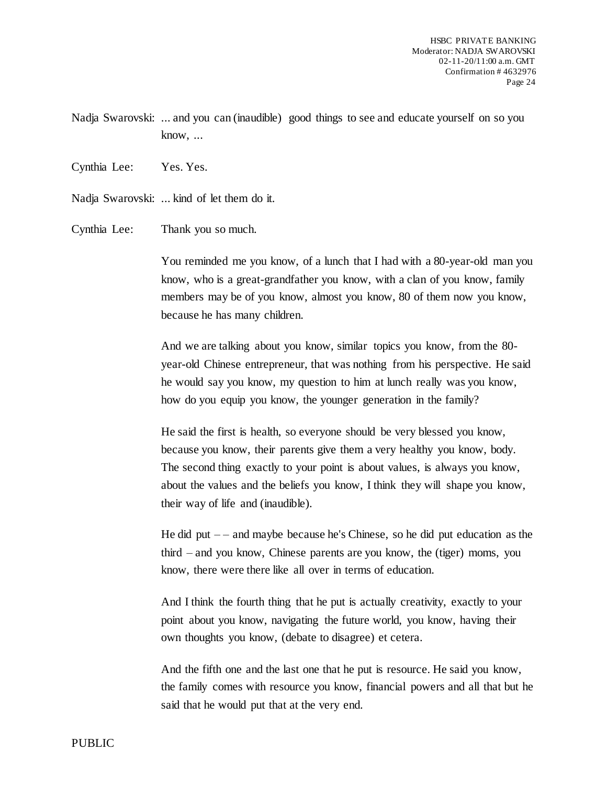Nadja Swarovski: ... and you can (inaudible) good things to see and educate yourself on so you know, ...

Cynthia Lee: Yes. Yes.

Nadja Swarovski: ... kind of let them do it.

Cynthia Lee: Thank you so much.

You reminded me you know, of a lunch that I had with a 80-year-old man you know, who is a great-grandfather you know, with a clan of you know, family members may be of you know, almost you know, 80 of them now you know, because he has many children.

And we are talking about you know, similar topics you know, from the 80 year-old Chinese entrepreneur, that was nothing from his perspective. He said he would say you know, my question to him at lunch really was you know, how do you equip you know, the younger generation in the family?

He said the first is health, so everyone should be very blessed you know, because you know, their parents give them a very healthy you know, body. The second thing exactly to your point is about values, is always you know, about the values and the beliefs you know, I think they will shape you know, their way of life and (inaudible).

He did put  $-$  – and maybe because he's Chinese, so he did put education as the third – and you know, Chinese parents are you know, the (tiger) moms, you know, there were there like all over in terms of education.

And I think the fourth thing that he put is actually creativity, exactly to your point about you know, navigating the future world, you know, having their own thoughts you know, (debate to disagree) et cetera.

And the fifth one and the last one that he put is resource. He said you know, the family comes with resource you know, financial powers and all that but he said that he would put that at the very end.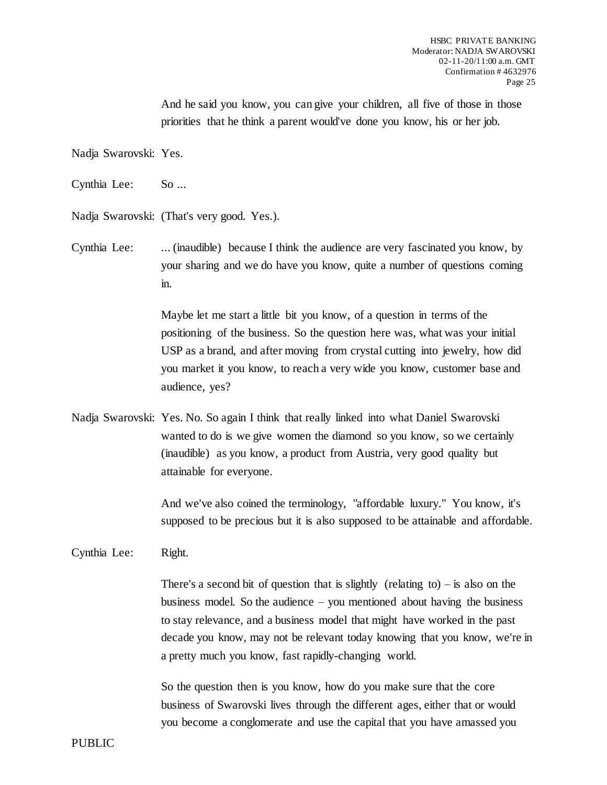And he said you know, you can give your children, all five of those in those priorities that he think a parent would've done you know, his or her job.

Nadja Swarovski: Yes.

Cynthia Lee: So ...

Nadja Swarovski: (That's very good. Yes.).

Cynthia Lee: ... (inaudible) because I think the audience are very fascinated you know, by your sharing and we do have you know, quite a number of questions coming in.

> Maybe let me start a little bit you know, of a question in terms of the positioning of the business. So the question here was, what was your initial USP as a brand, and after moving from crystal cutting into jewelry, how did you market it you know, to reach a very wide you know, customer base and audience, yes?

Nadja Swarovski: Yes. No. So again I think that really linked into what Daniel Swarovski wanted to do is we give women the diamond so you know, so we certainly (inaudible) as you know, a product from Austria, very good quality but attainable for everyone.

> And we've also coined the terminology, "affordable luxury." You know, it's supposed to be precious but it is also supposed to be attainable and affordable.

Cynthia Lee: Right.

There's a second bit of question that is slightly (relating to) – is also on the business model. So the audience – you mentioned about having the business to stay relevance, and a business model that might have worked in the past decade you know, may not be relevant today knowing that you know, we're in a pretty much you know, fast rapidly-changing world.

So the question then is you know, how do you make sure that the core business of Swarovski lives through the different ages, either that or would you become a conglomerate and use the capital that you have amassed you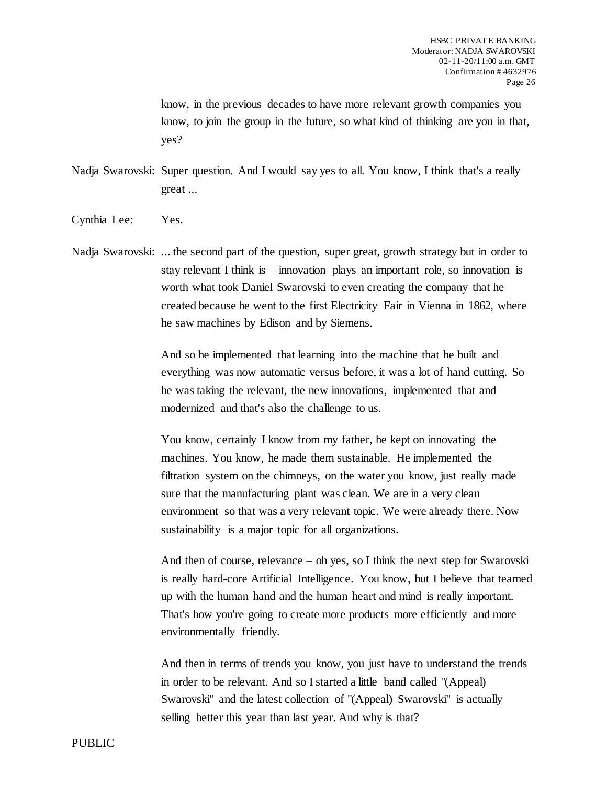know, in the previous decades to have more relevant growth companies you know, to join the group in the future, so what kind of thinking are you in that, yes?

Nadja Swarovski: Super question. And I would say yes to all. You know, I think that's a really great ...

Cynthia Lee: Yes.

Nadja Swarovski: ... the second part of the question, super great, growth strategy but in order to stay relevant I think is – innovation plays an important role, so innovation is worth what took Daniel Swarovski to even creating the company that he created because he went to the first Electricity Fair in Vienna in 1862, where he saw machines by Edison and by Siemens.

> And so he implemented that learning into the machine that he built and everything was now automatic versus before, it was a lot of hand cutting. So he was taking the relevant, the new innovations, implemented that and modernized and that's also the challenge to us.

You know, certainly I know from my father, he kept on innovating the machines. You know, he made them sustainable. He implemented the filtration system on the chimneys, on the water you know, just really made sure that the manufacturing plant was clean. We are in a very clean environment so that was a very relevant topic. We were already there. Now sustainability is a major topic for all organizations.

And then of course, relevance – oh yes, so I think the next step for Swarovski is really hard-core Artificial Intelligence. You know, but I believe that teamed up with the human hand and the human heart and mind is really important. That's how you're going to create more products more efficiently and more environmentally friendly.

And then in terms of trends you know, you just have to understand the trends in order to be relevant. And so I started a little band called "(Appeal) Swarovski" and the latest collection of "(Appeal) Swarovski" is actually selling better this year than last year. And why is that?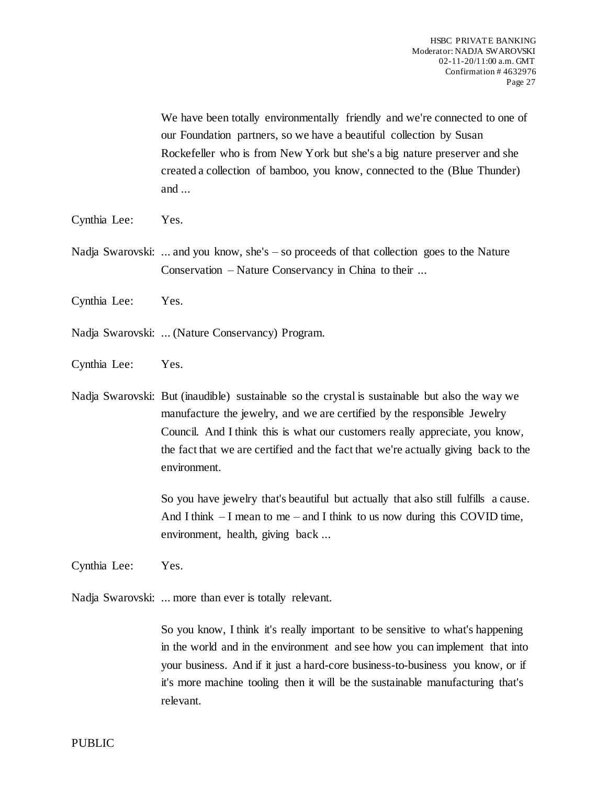We have been totally environmentally friendly and we're connected to one of our Foundation partners, so we have a beautiful collection by Susan Rockefeller who is from New York but she's a big nature preserver and she created a collection of bamboo, you know, connected to the (Blue Thunder) and ...

- Cynthia Lee: Yes.
- Nadja Swarovski: ... and you know, she's so proceeds of that collection goes to the Nature Conservation – Nature Conservancy in China to their ...
- Cynthia Lee: Yes.

Nadja Swarovski: ... (Nature Conservancy) Program.

Cynthia Lee: Yes.

Nadja Swarovski: But (inaudible) sustainable so the crystal is sustainable but also the way we manufacture the jewelry, and we are certified by the responsible Jewelry Council. And I think this is what our customers really appreciate, you know, the fact that we are certified and the fact that we're actually giving back to the environment.

> So you have jewelry that's beautiful but actually that also still fulfills a cause. And I think  $-I$  mean to me – and I think to us now during this COVID time, environment, health, giving back ...

Cynthia Lee: Yes.

Nadja Swarovski: ... more than ever is totally relevant.

So you know, I think it's really important to be sensitive to what's happening in the world and in the environment and see how you can implement that into your business. And if it just a hard-core business-to-business you know, or if it's more machine tooling then it will be the sustainable manufacturing that's relevant.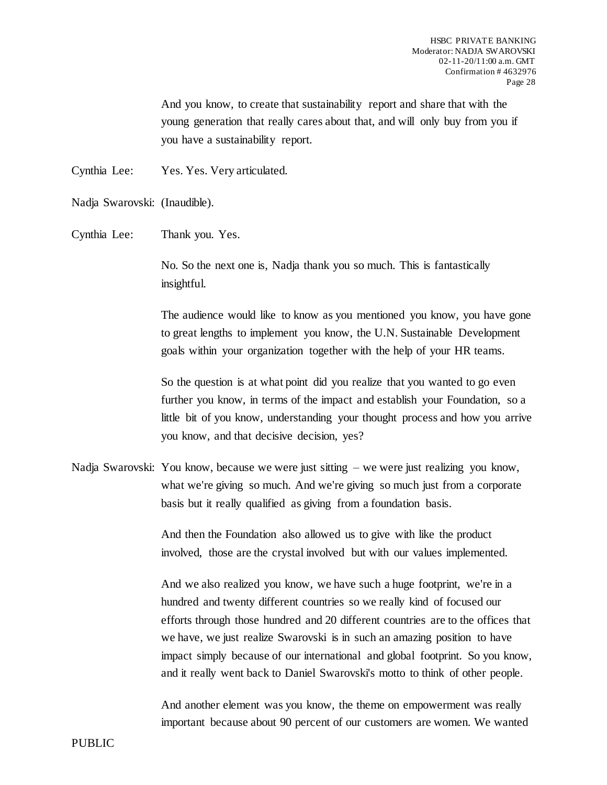And you know, to create that sustainability report and share that with the young generation that really cares about that, and will only buy from you if you have a sustainability report.

Cynthia Lee: Yes. Yes. Very articulated.

Nadja Swarovski: (Inaudible).

Cynthia Lee: Thank you. Yes.

No. So the next one is, Nadja thank you so much. This is fantastically insightful.

The audience would like to know as you mentioned you know, you have gone to great lengths to implement you know, the U.N. Sustainable Development goals within your organization together with the help of your HR teams.

So the question is at what point did you realize that you wanted to go even further you know, in terms of the impact and establish your Foundation, so a little bit of you know, understanding your thought process and how you arrive you know, and that decisive decision, yes?

Nadja Swarovski: You know, because we were just sitting – we were just realizing you know, what we're giving so much. And we're giving so much just from a corporate basis but it really qualified as giving from a foundation basis.

> And then the Foundation also allowed us to give with like the product involved, those are the crystal involved but with our values implemented.

And we also realized you know, we have such a huge footprint, we're in a hundred and twenty different countries so we really kind of focused our efforts through those hundred and 20 different countries are to the offices that we have, we just realize Swarovski is in such an amazing position to have impact simply because of our international and global footprint. So you know, and it really went back to Daniel Swarovski's motto to think of other people.

And another element was you know, the theme on empowerment was really important because about 90 percent of our customers are women. We wanted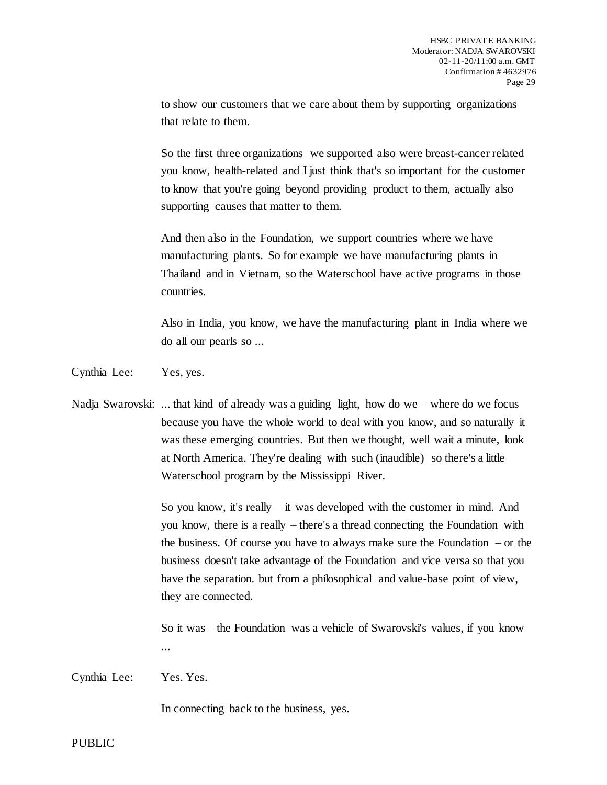to show our customers that we care about them by supporting organizations that relate to them.

So the first three organizations we supported also were breast-cancer related you know, health-related and I just think that's so important for the customer to know that you're going beyond providing product to them, actually also supporting causes that matter to them.

And then also in the Foundation, we support countries where we have manufacturing plants. So for example we have manufacturing plants in Thailand and in Vietnam, so the Waterschool have active programs in those countries.

Also in India, you know, we have the manufacturing plant in India where we do all our pearls so ...

Cynthia Lee: Yes, yes.

Nadja Swarovski: ... that kind of already was a guiding light, how do we – where do we focus because you have the whole world to deal with you know, and so naturally it was these emerging countries. But then we thought, well wait a minute, look at North America. They're dealing with such (inaudible) so there's a little Waterschool program by the Mississippi River.

> So you know, it's really – it was developed with the customer in mind. And you know, there is a really – there's a thread connecting the Foundation with the business. Of course you have to always make sure the Foundation – or the business doesn't take advantage of the Foundation and vice versa so that you have the separation. but from a philosophical and value-base point of view, they are connected.

So it was – the Foundation was a vehicle of Swarovski's values, if you know ...

Cynthia Lee: Yes. Yes.

In connecting back to the business, yes.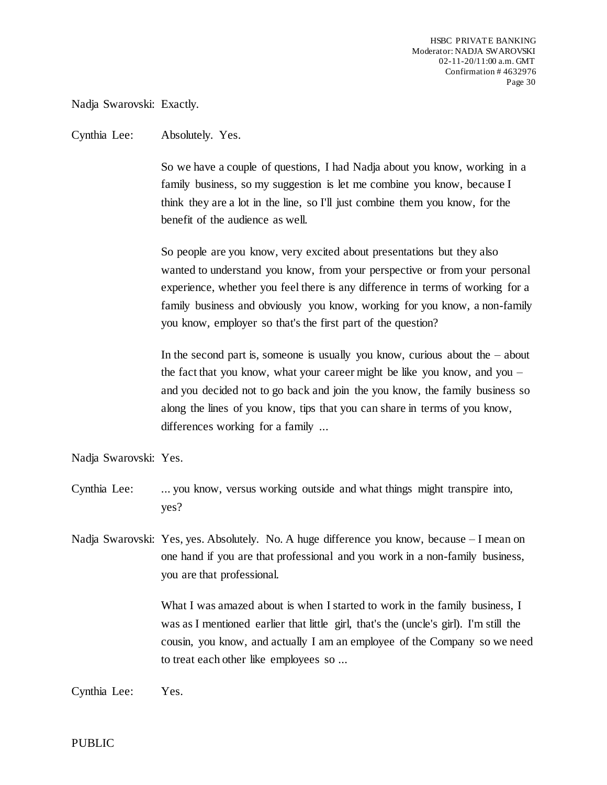Nadja Swarovski: Exactly.

Cynthia Lee: Absolutely. Yes.

So we have a couple of questions, I had Nadja about you know, working in a family business, so my suggestion is let me combine you know, because I think they are a lot in the line, so I'll just combine them you know, for the benefit of the audience as well.

So people are you know, very excited about presentations but they also wanted to understand you know, from your perspective or from your personal experience, whether you feel there is any difference in terms of working for a family business and obviously you know, working for you know, a non-family you know, employer so that's the first part of the question?

In the second part is, someone is usually you know, curious about the – about the fact that you know, what your career might be like you know, and you – and you decided not to go back and join the you know, the family business so along the lines of you know, tips that you can share in terms of you know, differences working for a family ...

Nadja Swarovski: Yes.

- Cynthia Lee: ... you know, versus working outside and what things might transpire into, yes?
- Nadja Swarovski: Yes, yes. Absolutely. No. A huge difference you know, because I mean on one hand if you are that professional and you work in a non-family business, you are that professional.

What I was amazed about is when I started to work in the family business, I was as I mentioned earlier that little girl, that's the (uncle's girl). I'm still the cousin, you know, and actually I am an employee of the Company so we need to treat each other like employees so ...

Cynthia Lee: Yes.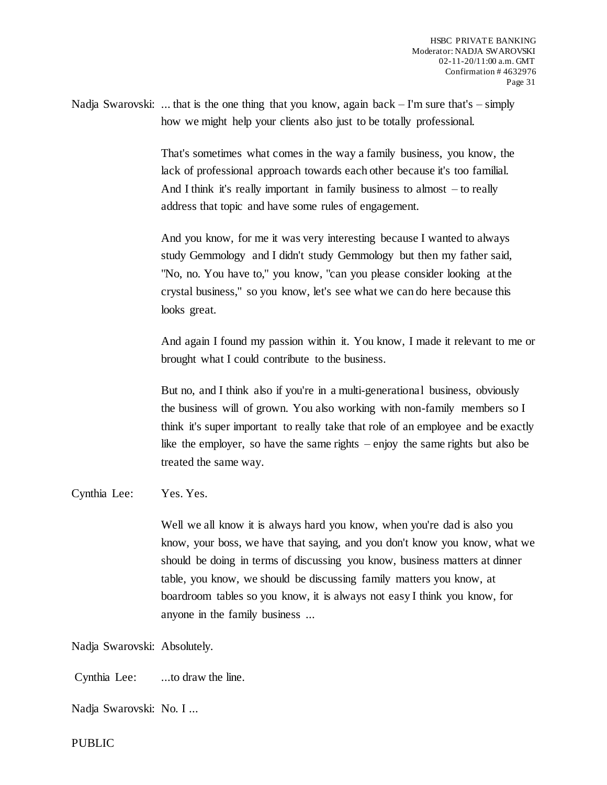Nadja Swarovski: ... that is the one thing that you know, again back  $-I'm$  sure that's  $-$  simply how we might help your clients also just to be totally professional.

> That's sometimes what comes in the way a family business, you know, the lack of professional approach towards each other because it's too familial. And I think it's really important in family business to almost – to really address that topic and have some rules of engagement.

> And you know, for me it was very interesting because I wanted to always study Gemmology and I didn't study Gemmology but then my father said, "No, no. You have to," you know, "can you please consider looking at the crystal business," so you know, let's see what we can do here because this looks great.

And again I found my passion within it. You know, I made it relevant to me or brought what I could contribute to the business.

But no, and I think also if you're in a multi-generational business, obviously the business will of grown. You also working with non-family members so I think it's super important to really take that role of an employee and be exactly like the employer, so have the same rights – enjoy the same rights but also be treated the same way.

Cynthia Lee: Yes. Yes.

Well we all know it is always hard you know, when you're dad is also you know, your boss, we have that saying, and you don't know you know, what we should be doing in terms of discussing you know, business matters at dinner table, you know, we should be discussing family matters you know, at boardroom tables so you know, it is always not easy I think you know, for anyone in the family business ...

Nadja Swarovski: Absolutely.

Cynthia Lee: ...to draw the line.

Nadja Swarovski: No. I ...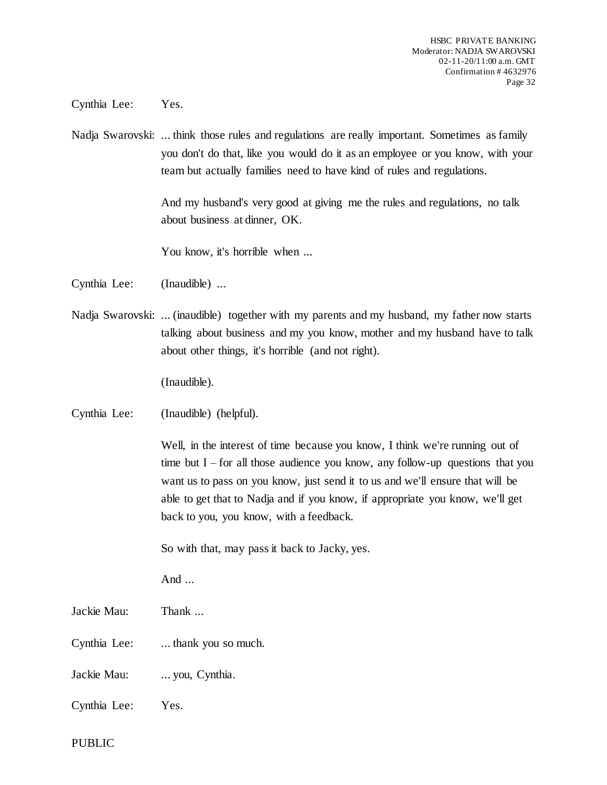Cynthia Lee: Yes.

Nadja Swarovski: ... think those rules and regulations are really important. Sometimes as family you don't do that, like you would do it as an employee or you know, with your team but actually families need to have kind of rules and regulations.

> And my husband's very good at giving me the rules and regulations, no talk about business at dinner, OK.

You know, it's horrible when ...

Cynthia Lee: (Inaudible) ...

Nadja Swarovski: ... (inaudible) together with my parents and my husband, my father now starts talking about business and my you know, mother and my husband have to talk about other things, it's horrible (and not right).

(Inaudible).

Cynthia Lee: (Inaudible) (helpful).

Well, in the interest of time because you know, I think we're running out of time but  $I$  – for all those audience you know, any follow-up questions that you want us to pass on you know, just send it to us and we'll ensure that will be able to get that to Nadja and if you know, if appropriate you know, we'll get back to you, you know, with a feedback.

So with that, may pass it back to Jacky, yes.

And ...

Jackie Mau: Thank ...

Cynthia Lee: ... thank you so much.

Jackie Mau: ... you, Cynthia.

Cynthia Lee: Yes.